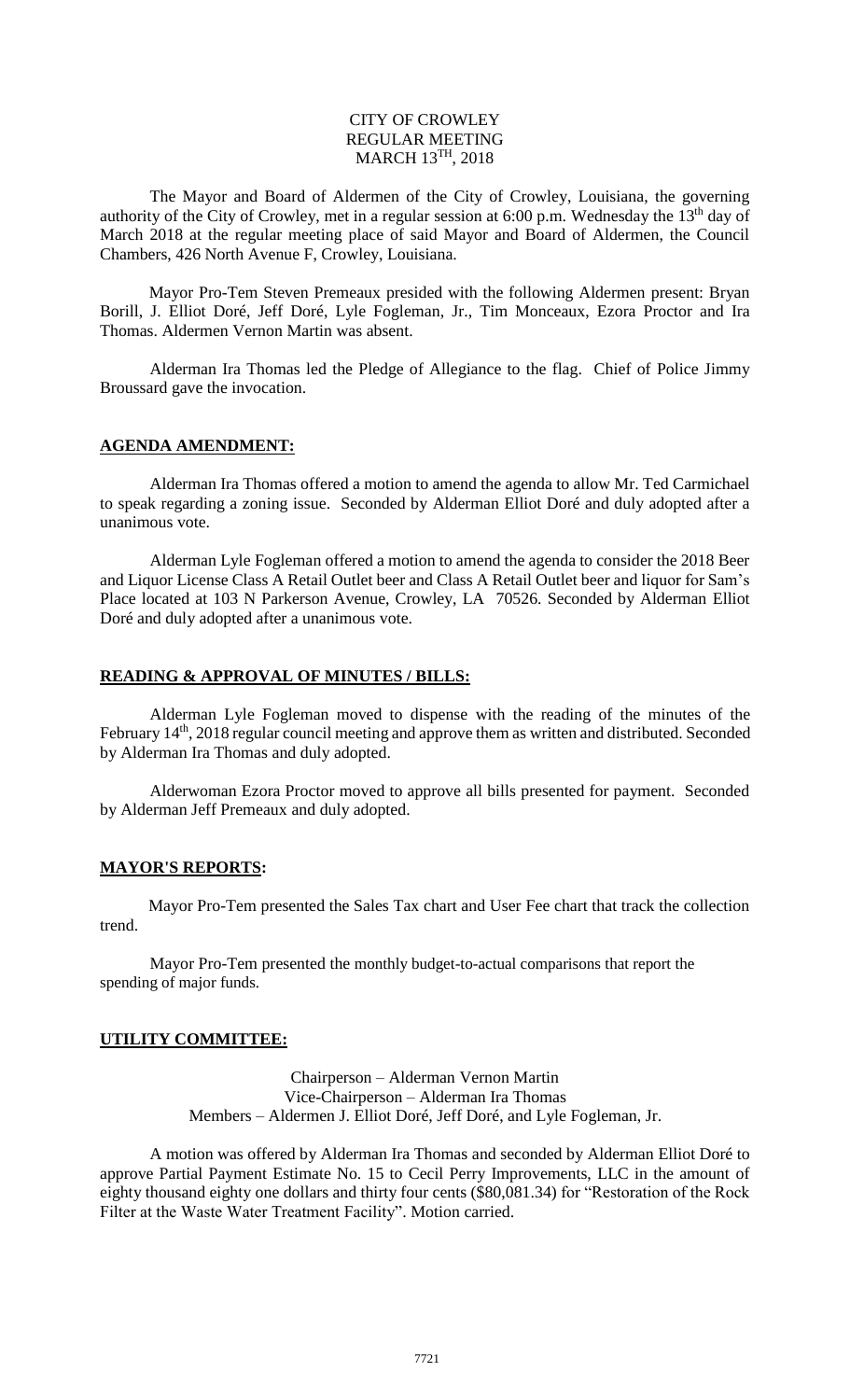## CITY OF CROWLEY REGULAR MEETING  $MARCH$   $13^{TH}$ ,  $2018$

The Mayor and Board of Aldermen of the City of Crowley, Louisiana, the governing authority of the City of Crowley, met in a regular session at 6:00 p.m. Wednesday the 13<sup>th</sup> day of March 2018 at the regular meeting place of said Mayor and Board of Aldermen, the Council Chambers, 426 North Avenue F, Crowley, Louisiana.

Mayor Pro-Tem Steven Premeaux presided with the following Aldermen present: Bryan Borill, J. Elliot Doré, Jeff Doré, Lyle Fogleman, Jr., Tim Monceaux, Ezora Proctor and Ira Thomas. Aldermen Vernon Martin was absent.

Alderman Ira Thomas led the Pledge of Allegiance to the flag. Chief of Police Jimmy Broussard gave the invocation.

# **AGENDA AMENDMENT:**

Alderman Ira Thomas offered a motion to amend the agenda to allow Mr. Ted Carmichael to speak regarding a zoning issue. Seconded by Alderman Elliot Doré and duly adopted after a unanimous vote.

Alderman Lyle Fogleman offered a motion to amend the agenda to consider the 2018 Beer and Liquor License Class A Retail Outlet beer and Class A Retail Outlet beer and liquor for Sam's Place located at 103 N Parkerson Avenue, Crowley, LA 70526. Seconded by Alderman Elliot Doré and duly adopted after a unanimous vote.

# **READING & APPROVAL OF MINUTES / BILLS:**

Alderman Lyle Fogleman moved to dispense with the reading of the minutes of the February 14<sup>th</sup>, 2018 regular council meeting and approve them as written and distributed. Seconded by Alderman Ira Thomas and duly adopted.

Alderwoman Ezora Proctor moved to approve all bills presented for payment. Seconded by Alderman Jeff Premeaux and duly adopted.

#### **MAYOR'S REPORTS:**

Mayor Pro-Tem presented the Sales Tax chart and User Fee chart that track the collection trend.

Mayor Pro-Tem presented the monthly budget-to-actual comparisons that report the spending of major funds.

#### **UTILITY COMMITTEE:**

Chairperson – Alderman Vernon Martin Vice-Chairperson – Alderman Ira Thomas Members – Aldermen J. Elliot Doré, Jeff Doré, and Lyle Fogleman, Jr.

A motion was offered by Alderman Ira Thomas and seconded by Alderman Elliot Doré to approve Partial Payment Estimate No. 15 to Cecil Perry Improvements, LLC in the amount of eighty thousand eighty one dollars and thirty four cents (\$80,081.34) for "Restoration of the Rock Filter at the Waste Water Treatment Facility". Motion carried.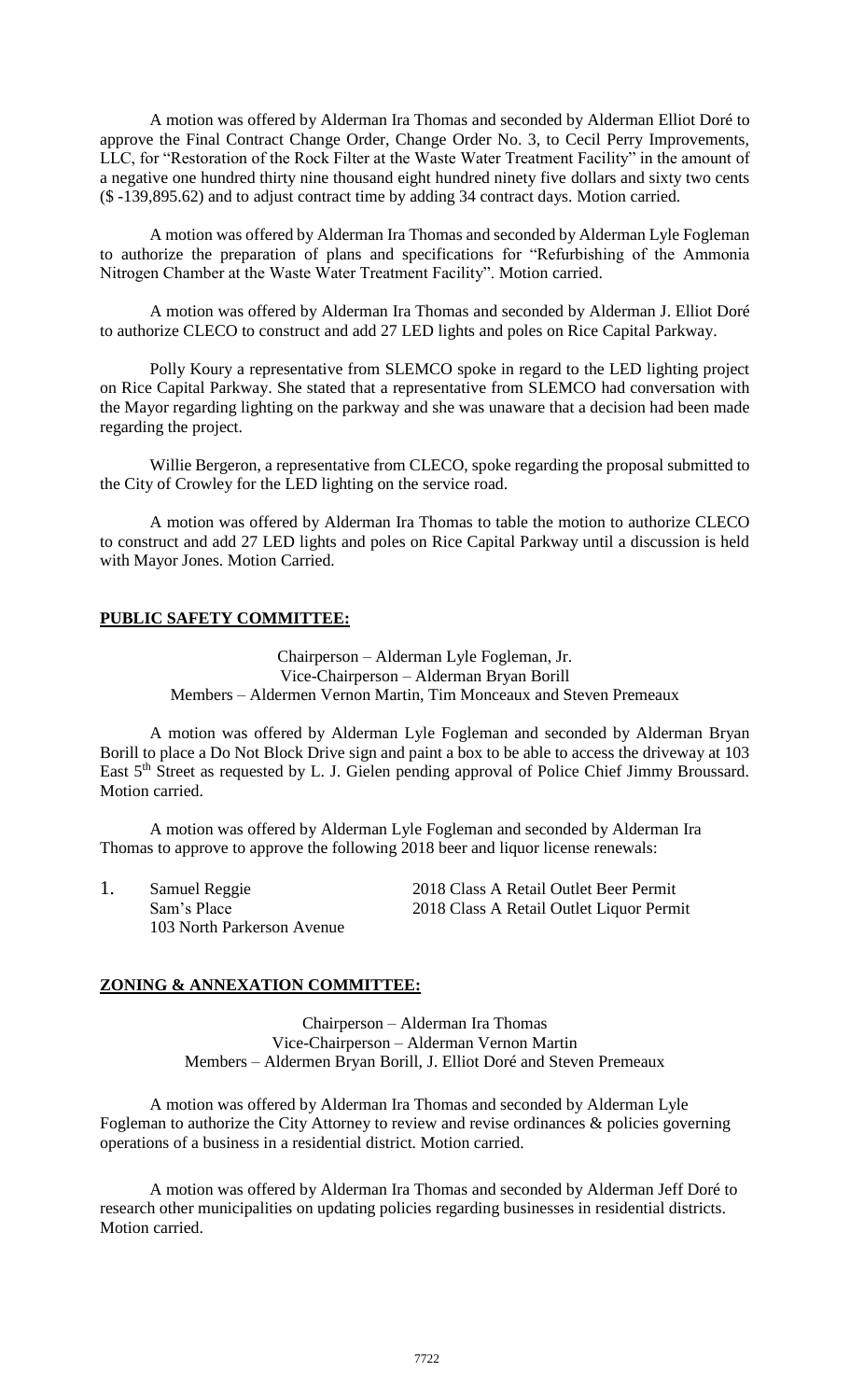A motion was offered by Alderman Ira Thomas and seconded by Alderman Elliot Doré to approve the Final Contract Change Order, Change Order No. 3, to Cecil Perry Improvements, LLC, for "Restoration of the Rock Filter at the Waste Water Treatment Facility" in the amount of a negative one hundred thirty nine thousand eight hundred ninety five dollars and sixty two cents (\$ -139,895.62) and to adjust contract time by adding 34 contract days. Motion carried.

A motion was offered by Alderman Ira Thomas and seconded by Alderman Lyle Fogleman to authorize the preparation of plans and specifications for "Refurbishing of the Ammonia Nitrogen Chamber at the Waste Water Treatment Facility". Motion carried.

A motion was offered by Alderman Ira Thomas and seconded by Alderman J. Elliot Doré to authorize CLECO to construct and add 27 LED lights and poles on Rice Capital Parkway.

Polly Koury a representative from SLEMCO spoke in regard to the LED lighting project on Rice Capital Parkway. She stated that a representative from SLEMCO had conversation with the Mayor regarding lighting on the parkway and she was unaware that a decision had been made regarding the project.

Willie Bergeron, a representative from CLECO, spoke regarding the proposal submitted to the City of Crowley for the LED lighting on the service road.

A motion was offered by Alderman Ira Thomas to table the motion to authorize CLECO to construct and add 27 LED lights and poles on Rice Capital Parkway until a discussion is held with Mayor Jones. Motion Carried.

# **PUBLIC SAFETY COMMITTEE:**

Chairperson – Alderman Lyle Fogleman, Jr. Vice-Chairperson – Alderman Bryan Borill Members – Aldermen Vernon Martin, Tim Monceaux and Steven Premeaux

A motion was offered by Alderman Lyle Fogleman and seconded by Alderman Bryan Borill to place a Do Not Block Drive sign and paint a box to be able to access the driveway at 103 East 5<sup>th</sup> Street as requested by L. J. Gielen pending approval of Police Chief Jimmy Broussard. Motion carried.

A motion was offered by Alderman Lyle Fogleman and seconded by Alderman Ira Thomas to approve to approve the following 2018 beer and liquor license renewals:

1. Samuel Reggie 2018 Class A Retail Outlet Beer Permit<br>
Sam's Place 2018 Class A Retail Outlet Liquor Perm 2018 Class A Retail Outlet Liquor Permit 103 North Parkerson Avenue

# **ZONING & ANNEXATION COMMITTEE:**

Chairperson – Alderman Ira Thomas Vice-Chairperson – Alderman Vernon Martin Members – Aldermen Bryan Borill, J. Elliot Doré and Steven Premeaux

A motion was offered by Alderman Ira Thomas and seconded by Alderman Lyle Fogleman to authorize the City Attorney to review and revise ordinances & policies governing operations of a business in a residential district. Motion carried.

A motion was offered by Alderman Ira Thomas and seconded by Alderman Jeff Doré to research other municipalities on updating policies regarding businesses in residential districts. Motion carried.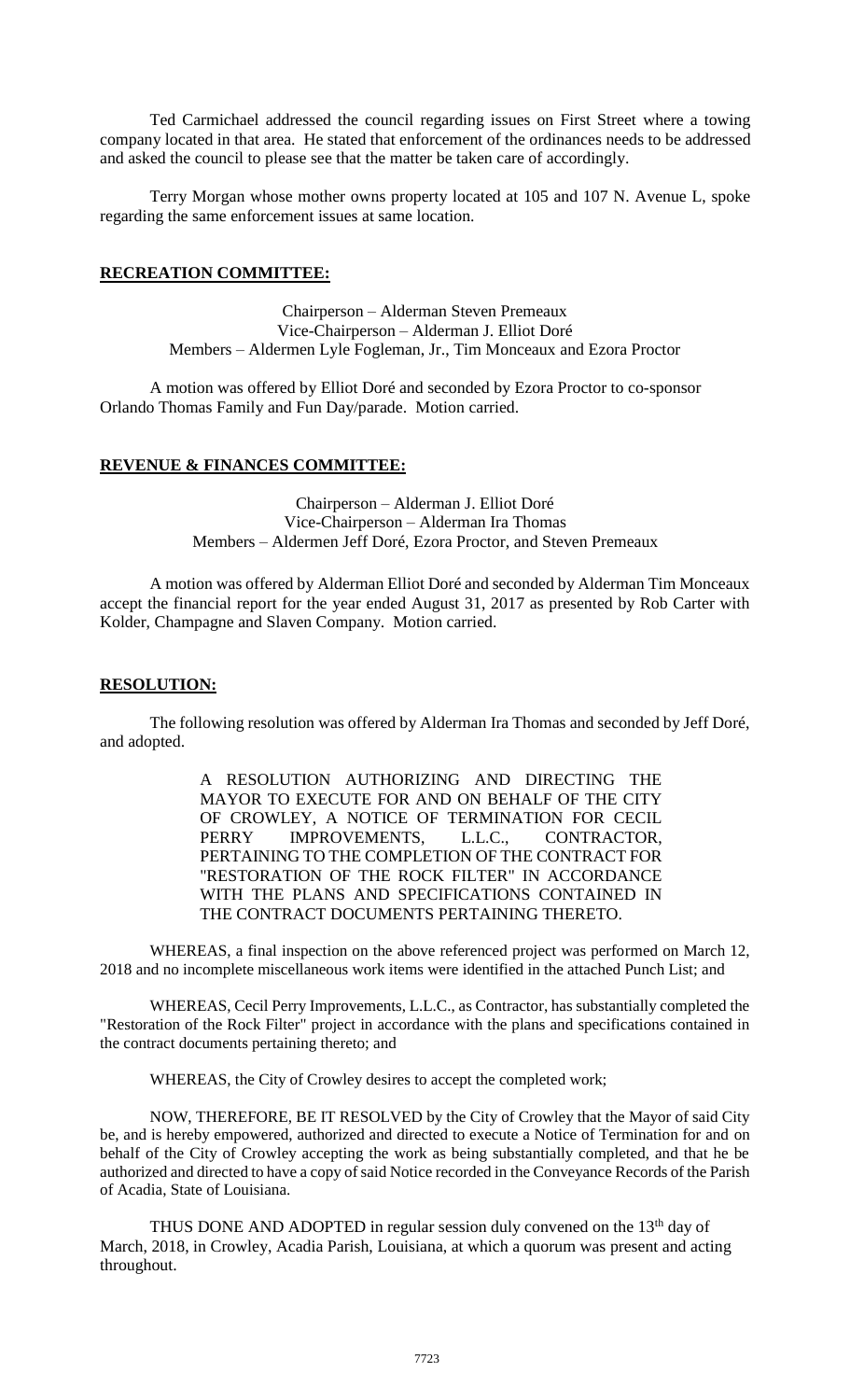Ted Carmichael addressed the council regarding issues on First Street where a towing company located in that area. He stated that enforcement of the ordinances needs to be addressed and asked the council to please see that the matter be taken care of accordingly.

Terry Morgan whose mother owns property located at 105 and 107 N. Avenue L, spoke regarding the same enforcement issues at same location.

## **RECREATION COMMITTEE:**

Chairperson – Alderman Steven Premeaux Vice-Chairperson – Alderman J. Elliot Doré Members – Aldermen Lyle Fogleman, Jr., Tim Monceaux and Ezora Proctor

A motion was offered by Elliot Doré and seconded by Ezora Proctor to co-sponsor Orlando Thomas Family and Fun Day/parade. Motion carried.

# **REVENUE & FINANCES COMMITTEE:**

Chairperson – Alderman J. Elliot Doré Vice-Chairperson – Alderman Ira Thomas Members – Aldermen Jeff Doré, Ezora Proctor, and Steven Premeaux

A motion was offered by Alderman Elliot Doré and seconded by Alderman Tim Monceaux accept the financial report for the year ended August 31, 2017 as presented by Rob Carter with Kolder, Champagne and Slaven Company. Motion carried.

#### **RESOLUTION:**

The following resolution was offered by Alderman Ira Thomas and seconded by Jeff Doré, and adopted.

> A RESOLUTION AUTHORIZING AND DIRECTING THE MAYOR TO EXECUTE FOR AND ON BEHALF OF THE CITY OF CROWLEY, A NOTICE OF TERMINATION FOR CECIL PERRY IMPROVEMENTS, L.L.C., CONTRACTOR, PERTAINING TO THE COMPLETION OF THE CONTRACT FOR "RESTORATION OF THE ROCK FILTER" IN ACCORDANCE WITH THE PLANS AND SPECIFICATIONS CONTAINED IN THE CONTRACT DOCUMENTS PERTAINING THERETO.

WHEREAS, a final inspection on the above referenced project was performed on March 12, 2018 and no incomplete miscellaneous work items were identified in the attached Punch List; and

WHEREAS, Cecil Perry Improvements, L.L.C., as Contractor, has substantially completed the "Restoration of the Rock Filter" project in accordance with the plans and specifications contained in the contract documents pertaining thereto; and

WHEREAS, the City of Crowley desires to accept the completed work;

NOW, THEREFORE, BE IT RESOLVED by the City of Crowley that the Mayor of said City be, and is hereby empowered, authorized and directed to execute a Notice of Termination for and on behalf of the City of Crowley accepting the work as being substantially completed, and that he be authorized and directed to have a copy of said Notice recorded in the Conveyance Records of the Parish of Acadia, State of Louisiana.

THUS DONE AND ADOPTED in regular session duly convened on the  $13<sup>th</sup>$  day of March, 2018, in Crowley, Acadia Parish, Louisiana, at which a quorum was present and acting throughout.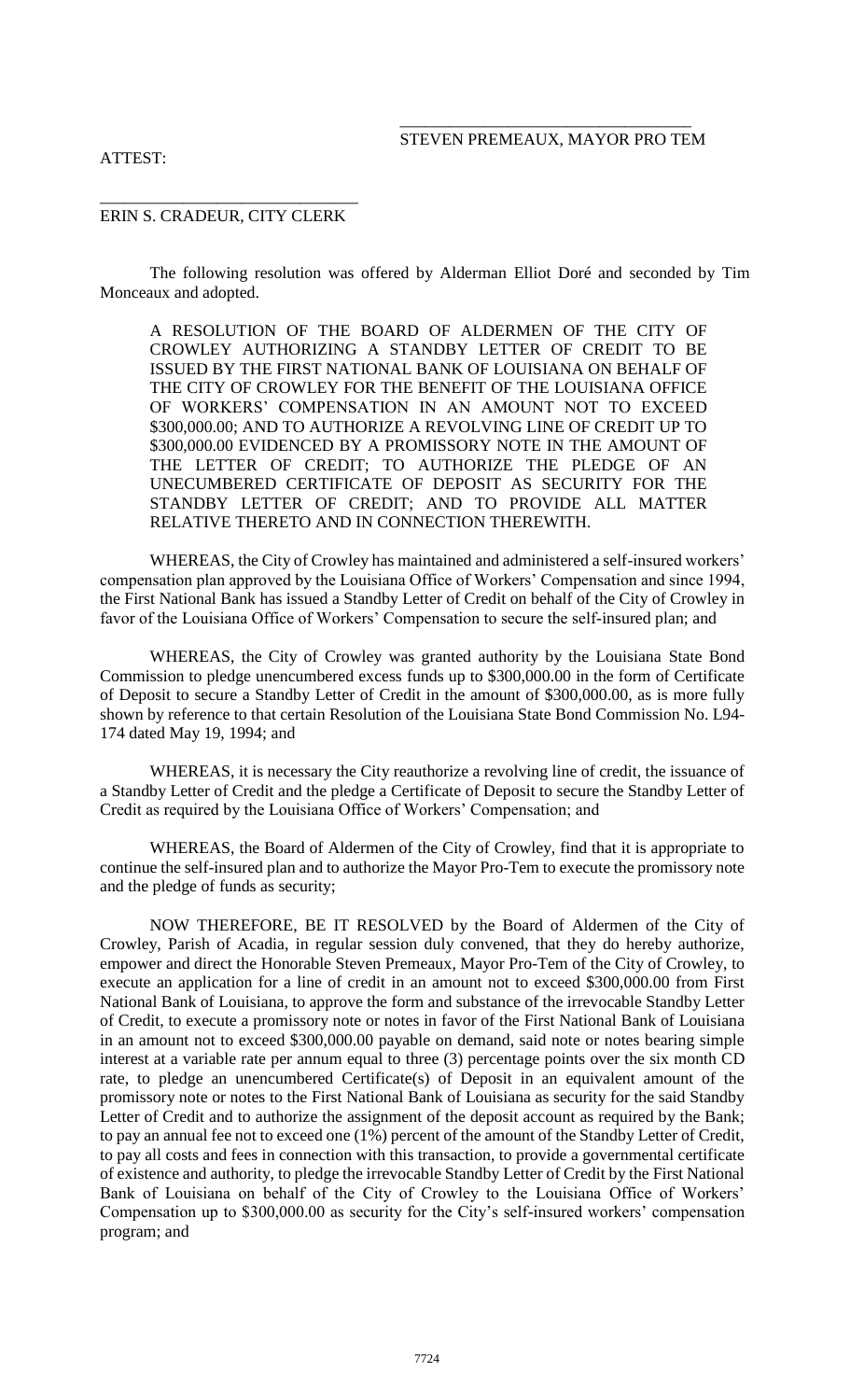#### \_\_\_\_\_\_\_\_\_\_\_\_\_\_\_\_\_\_\_\_\_\_\_\_\_\_\_\_\_\_\_\_\_\_\_ STEVEN PREMEAUX, MAYOR PRO TEM

## ATTEST:

#### \_\_\_\_\_\_\_\_\_\_\_\_\_\_\_\_\_\_\_\_\_\_\_\_\_\_\_\_\_\_\_ ERIN S. CRADEUR, CITY CLERK

The following resolution was offered by Alderman Elliot Doré and seconded by Tim Monceaux and adopted.

A RESOLUTION OF THE BOARD OF ALDERMEN OF THE CITY OF CROWLEY AUTHORIZING A STANDBY LETTER OF CREDIT TO BE ISSUED BY THE FIRST NATIONAL BANK OF LOUISIANA ON BEHALF OF THE CITY OF CROWLEY FOR THE BENEFIT OF THE LOUISIANA OFFICE OF WORKERS' COMPENSATION IN AN AMOUNT NOT TO EXCEED \$300,000.00; AND TO AUTHORIZE A REVOLVING LINE OF CREDIT UP TO \$300,000.00 EVIDENCED BY A PROMISSORY NOTE IN THE AMOUNT OF THE LETTER OF CREDIT; TO AUTHORIZE THE PLEDGE OF AN UNECUMBERED CERTIFICATE OF DEPOSIT AS SECURITY FOR THE STANDBY LETTER OF CREDIT; AND TO PROVIDE ALL MATTER RELATIVE THERETO AND IN CONNECTION THEREWITH.

WHEREAS, the City of Crowley has maintained and administered a self-insured workers' compensation plan approved by the Louisiana Office of Workers' Compensation and since 1994, the First National Bank has issued a Standby Letter of Credit on behalf of the City of Crowley in favor of the Louisiana Office of Workers' Compensation to secure the self-insured plan; and

WHEREAS, the City of Crowley was granted authority by the Louisiana State Bond Commission to pledge unencumbered excess funds up to \$300,000.00 in the form of Certificate of Deposit to secure a Standby Letter of Credit in the amount of \$300,000.00, as is more fully shown by reference to that certain Resolution of the Louisiana State Bond Commission No. L94- 174 dated May 19, 1994; and

WHEREAS, it is necessary the City reauthorize a revolving line of credit, the issuance of a Standby Letter of Credit and the pledge a Certificate of Deposit to secure the Standby Letter of Credit as required by the Louisiana Office of Workers' Compensation; and

WHEREAS, the Board of Aldermen of the City of Crowley, find that it is appropriate to continue the self-insured plan and to authorize the Mayor Pro-Tem to execute the promissory note and the pledge of funds as security;

NOW THEREFORE, BE IT RESOLVED by the Board of Aldermen of the City of Crowley, Parish of Acadia, in regular session duly convened, that they do hereby authorize, empower and direct the Honorable Steven Premeaux, Mayor Pro-Tem of the City of Crowley, to execute an application for a line of credit in an amount not to exceed \$300,000.00 from First National Bank of Louisiana, to approve the form and substance of the irrevocable Standby Letter of Credit, to execute a promissory note or notes in favor of the First National Bank of Louisiana in an amount not to exceed \$300,000.00 payable on demand, said note or notes bearing simple interest at a variable rate per annum equal to three (3) percentage points over the six month CD rate, to pledge an unencumbered Certificate(s) of Deposit in an equivalent amount of the promissory note or notes to the First National Bank of Louisiana as security for the said Standby Letter of Credit and to authorize the assignment of the deposit account as required by the Bank; to pay an annual fee not to exceed one (1%) percent of the amount of the Standby Letter of Credit, to pay all costs and fees in connection with this transaction, to provide a governmental certificate of existence and authority, to pledge the irrevocable Standby Letter of Credit by the First National Bank of Louisiana on behalf of the City of Crowley to the Louisiana Office of Workers' Compensation up to \$300,000.00 as security for the City's self-insured workers' compensation program; and